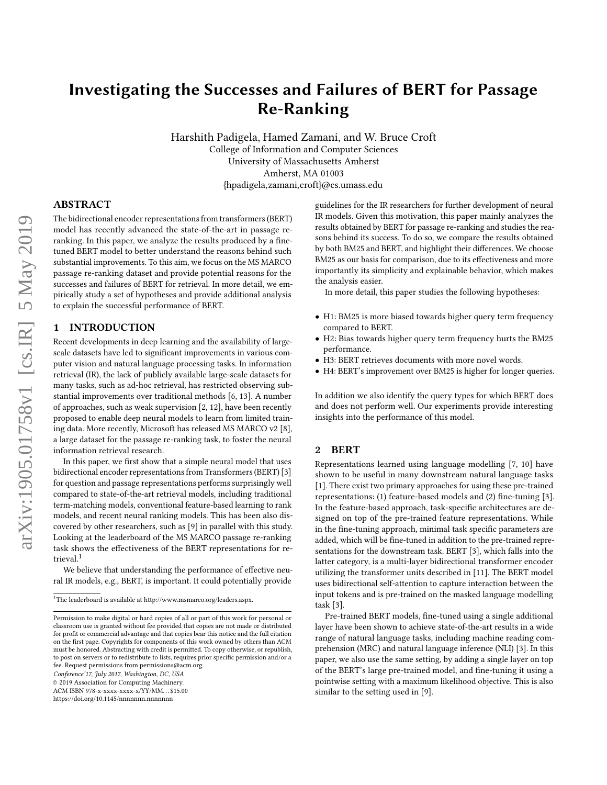# Investigating the Successes and Failures of BERT for Passage Re-Ranking

Harshith Padigela, Hamed Zamani, and W. Bruce Croft College of Information and Computer Sciences University of Massachusetts Amherst Amherst, MA 01003 {hpadigela,zamani,croft}@cs.umass.edu

# ABSTRACT

The bidirectional encoder representations from transformers (BERT) model has recently advanced the state-of-the-art in passage reranking. In this paper, we analyze the results produced by a finetuned BERT model to better understand the reasons behind such substantial improvements. To this aim, we focus on the MS MARCO passage re-ranking dataset and provide potential reasons for the successes and failures of BERT for retrieval. In more detail, we empirically study a set of hypotheses and provide additional analysis to explain the successful performance of BERT.

## 1 INTRODUCTION

Recent developments in deep learning and the availability of largescale datasets have led to significant improvements in various computer vision and natural language processing tasks. In information retrieval (IR), the lack of publicly available large-scale datasets for many tasks, such as ad-hoc retrieval, has restricted observing substantial improvements over traditional methods [\[6,](#page-4-0) [13\]](#page-4-1). A number of approaches, such as weak supervision [\[2,](#page-4-2) [12\]](#page-4-3), have been recently proposed to enable deep neural models to learn from limited training data. More recently, Microsoft has released MS MARCO v2 [\[8\]](#page-4-4), a large dataset for the passage re-ranking task, to foster the neural information retrieval research.

In this paper, we first show that a simple neural model that uses bidirectional encoder representations from Transformers (BERT) [\[3\]](#page-4-5) for question and passage representations performs surprisingly well compared to state-of-the-art retrieval models, including traditional term-matching models, conventional feature-based learning to rank models, and recent neural ranking models. This has been also discovered by other researchers, such as [\[9\]](#page-4-6) in parallel with this study. Looking at the leaderboard of the MS MARCO passage re-ranking task shows the effectiveness of the BERT representations for re-trieval.<sup>[1](#page-0-0)</sup>

We believe that understanding the performance of effective neural IR models, e.g., BERT, is important. It could potentially provide

Conference'17, July 2017, Washington, DC, USA

© 2019 Association for Computing Machinery.

ACM ISBN 978-x-xxxx-xxxx-x/YY/MM. . . \$15.00

<https://doi.org/10.1145/nnnnnnn.nnnnnnn>

guidelines for the IR researchers for further development of neural IR models. Given this motivation, this paper mainly analyzes the results obtained by BERT for passage re-ranking and studies the reasons behind its success. To do so, we compare the results obtained by both BM25 and BERT, and highlight their differences. We choose BM25 as our basis for comparison, due to its effectiveness and more importantly its simplicity and explainable behavior, which makes the analysis easier.

In more detail, this paper studies the following hypotheses:

- H1: BM25 is more biased towards higher query term frequency compared to BERT.
- H2: Bias towards higher query term frequency hurts the BM25 performance.
- H3: BERT retrieves documents with more novel words.
- H4: BERT's improvement over BM25 is higher for longer queries.

In addition we also identify the query types for which BERT does and does not perform well. Our experiments provide interesting insights into the performance of this model.

#### 2 BERT

Representations learned using language modelling [\[7,](#page-4-7) [10\]](#page-4-8) have shown to be useful in many downstream natural language tasks [\[1\]](#page-4-9). There exist two primary approaches for using these pre-trained representations: (1) feature-based models and (2) fine-tuning [\[3\]](#page-4-5). In the feature-based approach, task-specific architectures are designed on top of the pre-trained feature representations. While in the fine-tuning approach, minimal task specific parameters are added, which will be fine-tuned in addition to the pre-trained representations for the downstream task. BERT [\[3\]](#page-4-5), which falls into the latter category, is a multi-layer bidirectional transformer encoder utilizing the transformer units described in [\[11\]](#page-4-10). The BERT model uses bidirectional self-attention to capture interaction between the input tokens and is pre-trained on the masked language modelling task [\[3\]](#page-4-5).

Pre-trained BERT models, fine-tuned using a single additional layer have been shown to achieve state-of-the-art results in a wide range of natural language tasks, including machine reading comprehension (MRC) and natural language inference (NLI) [\[3\]](#page-4-5). In this paper, we also use the same setting, by adding a single layer on top of the BERT's large pre-trained model, and fine-tuning it using a pointwise setting with a maximum likelihood objective. This is also similar to the setting used in [\[9\]](#page-4-6).

<span id="page-0-0"></span> $^{\rm 1}{\rm The}$  leaderboard is available at [http://www.msmarco.org/leaders.aspx.](http://www.msmarco.org/leaders.aspx)

Permission to make digital or hard copies of all or part of this work for personal or classroom use is granted without fee provided that copies are not made or distributed for profit or commercial advantage and that copies bear this notice and the full citation on the first page. Copyrights for components of this work owned by others than ACM must be honored. Abstracting with credit is permitted. To copy otherwise, or republish, to post on servers or to redistribute to lists, requires prior specific permission and/or a fee. Request permissions from permissions@acm.org.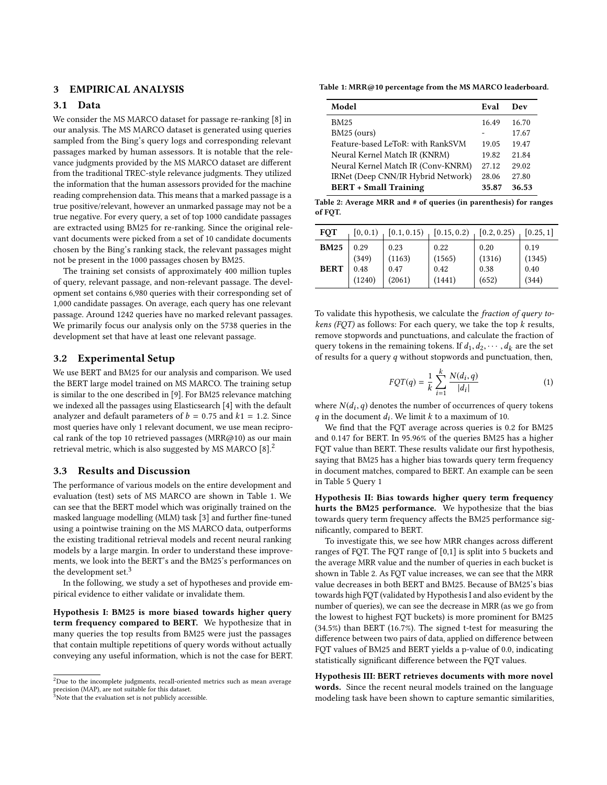# 3 EMPIRICAL ANALYSIS

### 3.1 Data

We consider the MS MARCO dataset for passage re-ranking [\[8\]](#page-4-4) in our analysis. The MS MARCO dataset is generated using queries sampled from the Bing's query logs and corresponding relevant passages marked by human assessors. It is notable that the relevance judgments provided by the MS MARCO dataset are different from the traditional TREC-style relevance judgments. They utilized the information that the human assessors provided for the machine reading comprehension data. This means that a marked passage is a true positive/relevant, however an unmarked passage may not be a true negative. For every query, a set of top 1000 candidate passages are extracted using BM25 for re-ranking. Since the original relevant documents were picked from a set of 10 candidate documents chosen by the Bing's ranking stack, the relevant passages might not be present in the 1000 passages chosen by BM25.

The training set consists of approximately 400 million tuples of query, relevant passage, and non-relevant passage. The development set contains 6,980 queries with their corresponding set of 1,000 candidate passages. On average, each query has one relevant passage. Around 1242 queries have no marked relevant passages. We primarily focus our analysis only on the 5738 queries in the development set that have at least one relevant passage.

#### 3.2 Experimental Setup

We use BERT and BM25 for our analysis and comparison. We used the BERT large model trained on MS MARCO. The training setup is similar to the one described in [\[9\]](#page-4-6). For BM25 relevance matching we indexed all the passages using Elasticsearch [\[4\]](#page-4-11) with the default analyzer and default parameters of  $b = 0.75$  and  $k1 = 1.2$ . Since most queries have only 1 relevant document, we use mean reciprocal rank of the top 10 retrieved passages (MRR@10) as our main retrieval metric, which is also suggested by MS MARCO [\[8\]](#page-4-4).[2](#page-1-0)

#### 3.3 Results and Discussion

The performance of various models on the entire development and evaluation (test) sets of MS MARCO are shown in Table [1.](#page-1-1) We can see that the BERT model which was originally trained on the masked language modelling (MLM) task [\[3\]](#page-4-5) and further fine-tuned using a pointwise training on the MS MARCO data, outperforms the existing traditional retrieval models and recent neural ranking models by a large margin. In order to understand these improvements, we look into the BERT's and the BM25's performances on the development set.<sup>[3](#page-1-2)</sup>

In the following, we study a set of hypotheses and provide empirical evidence to either validate or invalidate them.

Hypothesis I: BM25 is more biased towards higher query term frequency compared to BERT. We hypothesize that in many queries the top results from BM25 were just the passages that contain multiple repetitions of query words without actually conveying any useful information, which is not the case for BERT.

<span id="page-1-2"></span> $3$ Note that the evaluation set is not publicly accessible.

<span id="page-1-1"></span>Table 1: MRR@10 percentage from the MS MARCO [leaderboard.](http://www.msmarco.org/leaders.aspx)

| Model                              | Eval  | Dev   |
|------------------------------------|-------|-------|
| <b>BM25</b>                        | 16.49 | 16.70 |
| BM25 (ours)                        |       | 17.67 |
| Feature-based LeToR: with RankSVM  | 19.05 | 19.47 |
| Neural Kernel Match IR (KNRM)      | 19.82 | 21.84 |
| Neural Kernel Match IR (Conv-KNRM) | 27.12 | 29.02 |
| IRNet (Deep CNN/IR Hybrid Network) | 28.06 | 27.80 |
| <b>BERT</b> + Small Training       | 35.87 | 36.53 |

<span id="page-1-3"></span>Table 2: Average MRR and # of queries (in parenthesis) for ranges of FQT.

| <b>FOT</b>                 | [0, 0.1)                        | [0.1, 0.15)                      | [0.15, 0.2)                      | [0.2, 0.25)                     | [0.25, 1]                       |
|----------------------------|---------------------------------|----------------------------------|----------------------------------|---------------------------------|---------------------------------|
| <b>BM25</b><br><b>BERT</b> | 0.29<br>(349)<br>0.48<br>(1240) | 0.23<br>(1163)<br>0.47<br>(2061) | 0.22<br>(1565)<br>0.42<br>(1441) | 0.20<br>(1316)<br>0.38<br>(652) | 0.19<br>(1345)<br>0.40<br>(344) |

To validate this hypothesis, we calculate the fraction of query tokens (FOT) as follows: For each query, we take the top  $k$  results, remove stopwords and punctuations, and calculate the fraction of query tokens in the remaining tokens. If  $d_1, d_2, \dots, d_k$  are the set of results for a query  $q$  without stopwords and punctuation, then,

$$
FQT(q) = \frac{1}{k} \sum_{i=1}^{k} \frac{N(d_i, q)}{|d_i|}
$$
 (1)

where  $N(d_i, q)$  denotes the number of occurrences of query tokens<br>*a* in the document *d*. We limit *k* to a maximum of 10  $q$  in the document  $d_i$ . We limit  $k$  to a maximum of 10.

We find that the FQT average across queries is 0.2 for BM25 and 0.147 for BERT. In 95.96% of the queries BM25 has a higher FQT value than BERT. These results validate our first hypothesis, saying that BM25 has a higher bias towards query term frequency in document matches, compared to BERT. An example can be seen in Table [5](#page-3-0) Query [1](#page-3-1)

Hypothesis II: Bias towards higher query term frequency hurts the BM25 performance. We hypothesize that the bias towards query term frequency affects the BM25 performance significantly, compared to BERT.

To investigate this, we see how MRR changes across different ranges of FQT. The FQT range of [0,1] is split into 5 buckets and the average MRR value and the number of queries in each bucket is shown in Table [2.](#page-1-3) As FQT value increases, we can see that the MRR value decreases in both BERT and BM25. Because of BM25's bias towards high FQT (validated by Hypothesis I and also evident by the number of queries), we can see the decrease in MRR (as we go from the lowest to highest FQT buckets) is more prominent for BM25 (34.5%) than BERT (16.7%). The signed t-test for measuring the difference between two pairs of data, applied on difference between FQT values of BM25 and BERT yields a p-value of 0.0, indicating statistically significant difference between the FQT values.

Hypothesis III: BERT retrieves documents with more novel words. Since the recent neural models trained on the language modeling task have been shown to capture semantic similarities,

<span id="page-1-0"></span> $^2$ Due to the incomplete judgments, recall-oriented metrics such as mean average precision (MAP), are not suitable for this dataset.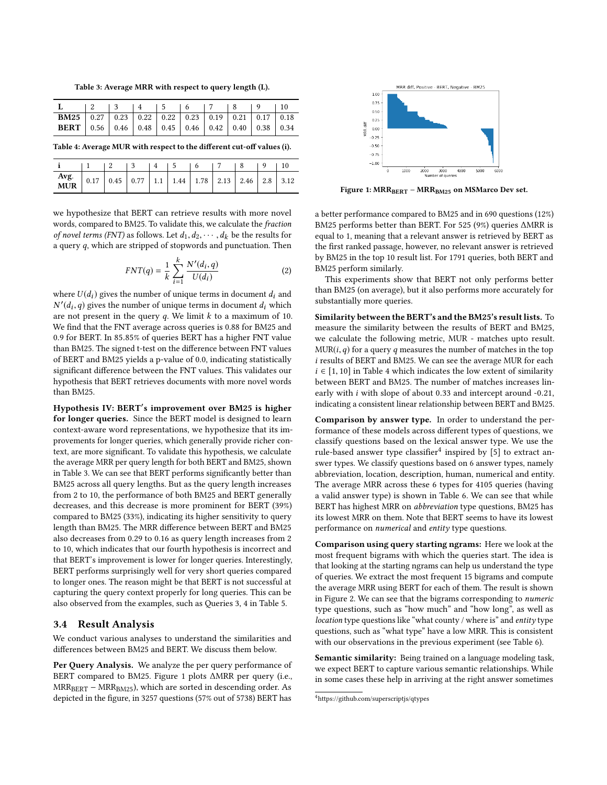<span id="page-2-0"></span>Table 3: Average MRR with respect to query length (L).

| <b>BM25</b>   0.27   0.23   0.22   0.22   0.23   0.19   0.21   0.17   0.18 |  |  |  |  |  |
|----------------------------------------------------------------------------|--|--|--|--|--|
| <b>BERT</b>   0.56   0.46   0.48   0.45   0.46   0.42   0.40   0.38   0.34 |  |  |  |  |  |

<span id="page-2-2"></span>Table 4: Average MUR with respect to the different cut-off values (i).

|                                                             |  |  | $\begin{array}{ccccccc} & 3 & & 4 & & 5 & & 6 \end{array}$ |  |  |  |
|-------------------------------------------------------------|--|--|------------------------------------------------------------|--|--|--|
| <b>Avg.</b> 0.17 0.45 0.77 1.1 1.44 1.78 2.13 2.46 2.8 3.12 |  |  |                                                            |  |  |  |

we hypothesize that BERT can retrieve results with more novel words, compared to BM25. To validate this, we calculate the fraction of novel terms (FNT) as follows. Let  $d_1, d_2, \cdots, d_k$  be the results for a query  $q$ , which are stripped of stopwords and punctuation. Then

$$
FNT(q) = \frac{1}{k} \sum_{i=1}^{k} \frac{N'(d_i, q)}{U(d_i)}
$$
 (2)

where  $U(d_i)$  gives the number of unique terms in document  $d_i$  and  $N'(d_i, q)$  gives the number of unique terms in document  $d_i$  which<br>are not present in the query q. We limit k to a maximum of 10 are not present in the query  $q$ . We limit  $k$  to a maximum of 10. We find that the FNT average across queries is 0.88 for BM25 and 0.9 for BERT. In <sup>85</sup>.85% of queries BERT has a higher FNT value than BM25. The signed t-test on the difference between FNT values of BERT and BM25 yields a p-value of 0.0, indicating statistically significant difference between the FNT values. This validates our hypothesis that BERT retrieves documents with more novel words than BM25.

Hypothesis IV: BERT′ s improvement over BM25 is higher for longer queries. Since the BERT model is designed to learn context-aware word representations, we hypothesize that its improvements for longer queries, which generally provide richer context, are more significant. To validate this hypothesis, we calculate the average MRR per query length for both BERT and BM25, shown in Table [3.](#page-2-0) We can see that BERT performs significantly better than BM25 across all query lengths. But as the query length increases from 2 to 10, the performance of both BM25 and BERT generally decreases, and this decrease is more prominent for BERT (39%) compared to BM25 (33%), indicating its higher sensitivity to query length than BM25. The MRR difference between BERT and BM25 also decreases from 0.29 to 0.16 as query length increases from 2 to 10, which indicates that our fourth hypothesis is incorrect and that BERT's improvement is lower for longer queries. Interestingly, BERT performs surprisingly well for very short queries compared to longer ones. The reason might be that BERT is not successful at capturing the query context properly for long queries. This can be also observed from the examples, such as Queries [3,](#page-3-2) [4](#page-3-3) in Table [5.](#page-3-0)

#### 3.4 Result Analysis

We conduct various analyses to understand the similarities and differences between BM25 and BERT. We discuss them below.

Per Query Analysis. We analyze the per query performance of BERT compared to BM25. Figure [1](#page-2-1) plots ∆MRR per query (i.e.,  $MRR_{BERT} - MRR_{BM25}$ , which are sorted in descending order. As depicted in the figure, in 3257 questions (57% out of 5738) BERT has

<span id="page-2-1"></span>

Figure 1: MRRBERT − MRRBM25 on MSMarco Dev set.

a better performance compared to BM25 and in 690 questions (12%) BM25 performs better than BERT. For <sup>525</sup> (9%) queries ∆MRR is equal to 1, meaning that a relevant answer is retrieved by BERT as the first ranked passage, however, no relevant answer is retrieved by BM25 in the top 10 result list. For 1791 queries, both BERT and BM25 perform similarly.

This experiments show that BERT not only performs better than BM25 (on average), but it also performs more accurately for substantially more queries.

Similarity between the BERT's and the BM25's result lists. To measure the similarity between the results of BERT and BM25, we calculate the following metric, MUR - matches upto result.  $MUR(i, q)$  for a query q measures the number of matches in the top i results of BERT and BM25. We can see the average MUR for each  $i \in [1, 10]$  in Table [4](#page-2-2) which indicates the low extent of similarity between BERT and BM25. The number of matches increases linearly with <sup>i</sup> with slope of about <sup>0</sup>.<sup>33</sup> and intercept around -0.21, indicating a consistent linear relationship between BERT and BM25.

Comparison by answer type. In order to understand the performance of these models across different types of questions, we classify questions based on the lexical answer type. We use the rule-based answer type classifier<sup>[4](#page-2-3)</sup> inspired by [\[5\]](#page-4-12) to extract answer types. We classify questions based on 6 answer types, namely abbreviation, location, description, human, numerical and entity. The average MRR across these 6 types for 4105 queries (having a valid answer type) is shown in Table [6.](#page-3-4) We can see that while BERT has highest MRR on abbreviation type questions, BM25 has its lowest MRR on them. Note that BERT seems to have its lowest performance on numerical and entity type questions.

Comparison using query starting ngrams: Here we look at the most frequent bigrams with which the queries start. The idea is that looking at the starting ngrams can help us understand the type of queries. We extract the most frequent 15 bigrams and compute the average MRR using BERT for each of them. The result is shown in Figure [2.](#page-3-5) We can see that the bigrams corresponding to numeric type questions, such as "how much" and "how long", as well as location type questions like "what county / where is" and entity type questions, such as "what type" have a low MRR. This is consistent with our observations in the previous experiment (see Table [6\)](#page-3-4).

Semantic similarity: Being trained on a language modeling task, we expect BERT to capture various semantic relationships. While in some cases these help in arriving at the right answer sometimes

<span id="page-2-3"></span> $^4$ <https://github.com/superscriptjs/qtypes>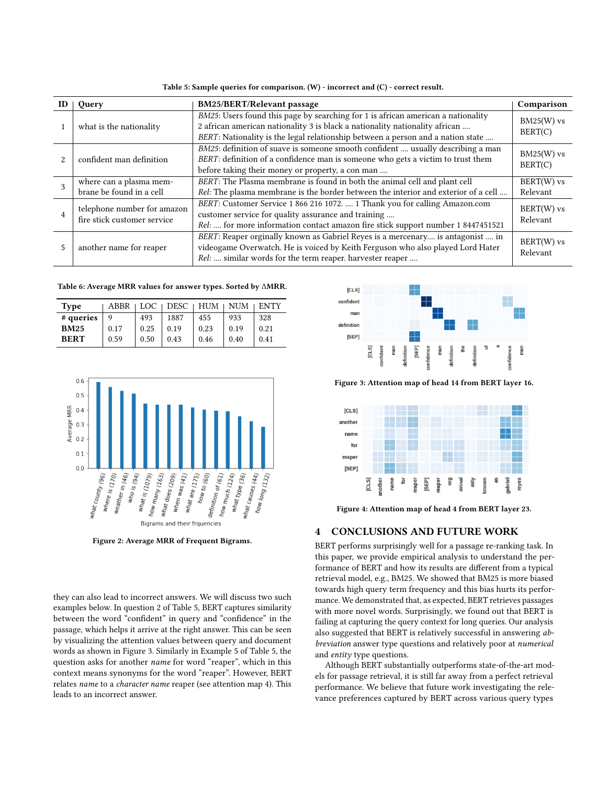Table 5: Sample queries for comparison. (W) - incorrect and (C) - correct result.

<span id="page-3-6"></span><span id="page-3-1"></span>

| ID | Query                                                      | <b>BM25/BERT/Relevant passage</b>                                                                                                                                                                                                                  | Comparison               |
|----|------------------------------------------------------------|----------------------------------------------------------------------------------------------------------------------------------------------------------------------------------------------------------------------------------------------------|--------------------------|
|    | what is the nationality                                    | BM25: Users found this page by searching for 1 is african american a nationality<br>2 african american nationality 3 is black a nationality nationality african<br>BERT: Nationality is the legal relationship between a person and a nation state | $BM25(W)$ vs<br>BERT(C)  |
|    | confident man definition                                   | BM25: definition of suave is someone smooth confident  usually describing a man<br>BERT: definition of a confidence man is someone who gets a victim to trust them<br>before taking their money or property, a con man                             | $BM25(W)$ vs<br>BERT(C)  |
| 3  | where can a plasma mem-<br>brane be found in a cell        | BERT: The Plasma membrane is found in both the animal cell and plant cell<br>Rel: The plasma membrane is the border between the interior and exterior of a cell                                                                                    | BERT(W) vs<br>Relevant   |
|    | telephone number for amazon<br>fire stick customer service | BERT: Customer Service 1 866 216 1072.  1 Thank you for calling Amazon.com<br>customer service for quality assurance and training<br>Rel:  for more information contact amazon fire stick support number 1 8447451521                              | $BERT(W)$ vs<br>Relevant |
| 5  | another name for reaper                                    | BERT: Reaper orginally known as Gabriel Reyes is a mercenary is antagonist  in<br>videogame Overwatch. He is voiced by Keith Ferguson who also played Lord Hater<br>Rel:  similar words for the term reaper. harvester reaper                      | BERT(W) vs<br>Relevant   |

<span id="page-3-4"></span><span id="page-3-3"></span><span id="page-3-2"></span><span id="page-3-0"></span>Table 6: Average MRR values for answer types. Sorted by ∆MRR.

| <b>Type</b> | ABBR | LOC  | DESC <sub>1</sub> | HUM  | <b>NUM</b> | <b>ENTY</b> |
|-------------|------|------|-------------------|------|------------|-------------|
| # queries   | q    | 493  | 1887              | 455  | 933        | 328         |
| <b>BM25</b> | 0.17 | 0.25 | 0.19              | 0.23 | 0.19       | 0.21        |
| <b>BERT</b> | 0.59 | 0.50 | 0.43              | 0.46 | 0.40       | 0.41        |

<span id="page-3-5"></span>

Figure 2: Average MRR of Frequent Bigrams.

they can also lead to incorrect answers. We will discuss two such examples below. In question [2](#page-3-6) of Table [5,](#page-3-0) BERT captures similarity between the word "confident" in query and "confidence" in the passage, which helps it arrive at the right answer. This can be seen by visualizing the attention values between query and document words as shown in Figure [3.](#page-3-7) Similarly in Example [5](#page-3-0) of Table [5,](#page-3-0) the question asks for another name for word "reaper", which in this context means synonyms for the word "reaper". However, BERT relates name to a character name reaper (see attention map [4\)](#page-3-8). This leads to an incorrect answer.

<span id="page-3-7"></span>

Figure 3: Attention map of head 14 from BERT layer 16.

<span id="page-3-8"></span>

Figure 4: Attention map of head 4 from BERT layer 23.

## 4 CONCLUSIONS AND FUTURE WORK

BERT performs surprisingly well for a passage re-ranking task. In this paper, we provide empirical analysis to understand the performance of BERT and how its results are different from a typical retrieval model, e.g., BM25. We showed that BM25 is more biased towards high query term frequency and this bias hurts its performance. We demonstrated that, as expected, BERT retrieves passages with more novel words. Surprisingly, we found out that BERT is failing at capturing the query context for long queries. Our analysis also suggested that BERT is relatively successful in answering abbreviation answer type questions and relatively poor at numerical and entity type questions.

Although BERT substantially outperforms state-of-the-art models for passage retrieval, it is still far away from a perfect retrieval performance. We believe that future work investigating the relevance preferences captured by BERT across various query types